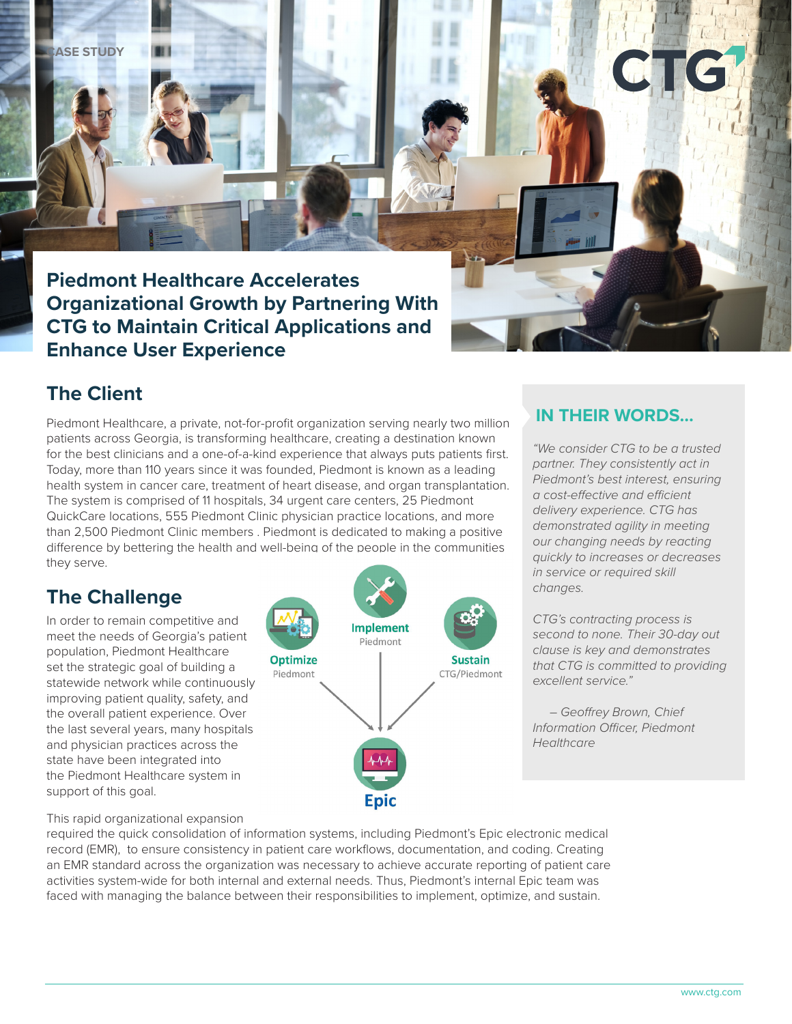**ASE STUDY** 

**Piedmont Healthcare Accelerates Organizational Growth by Partnering With CTG to Maintain Critical Applications and Enhance User Experience**

## **The Client**

Piedmont Healthcare, a private, not-for-profit organization serving nearly two million patients across Georgia, is transforming healthcare, creating a destination known for the best clinicians and a one-of-a-kind experience that always puts patients first. Today, more than 110 years since it was founded, Piedmont is known as a leading health system in cancer care, treatment of heart disease, and organ transplantation. The system is comprised of 11 hospitals, 34 urgent care centers, 25 Piedmont QuickCare locations, 555 Piedmont Clinic physician practice locations, and more than 2,500 Piedmont Clinic members . Piedmont is dedicated to making a positive difference by bettering the health and well-being of the people in the communities they serve.

## **The Challenge**

In order to remain competitive and meet the needs of Georgia's patient population, Piedmont Healthcare set the strategic goal of building a statewide network while continuously improving patient quality, safety, and the overall patient experience. Over the last several years, many hospitals and physician practices across the state have been integrated into the Piedmont Healthcare system in support of this goal.



#### **IN THEIR WORDS…**

*"We consider CTG to be a trusted partner. They consistently act in Piedmont's best interest, ensuring a cost-effective and efficient delivery experience. CTG has demonstrated agility in meeting our changing needs by reacting quickly to increases or decreases in service or required skill changes.* 

*CTG's contracting process is second to none. Their 30-day out clause is key and demonstrates that CTG is committed to providing excellent service."* 

 *– Geoffrey Brown, Chief Information Officer, Piedmont Healthcare*

This rapid organizational expansion

required the quick consolidation of information systems, including Piedmont's Epic electronic medical record (EMR), to ensure consistency in patient care workflows, documentation, and coding. Creating an EMR standard across the organization was necessary to achieve accurate reporting of patient care activities system-wide for both internal and external needs. Thus, Piedmont's internal Epic team was faced with managing the balance between their responsibilities to implement, optimize, and sustain.